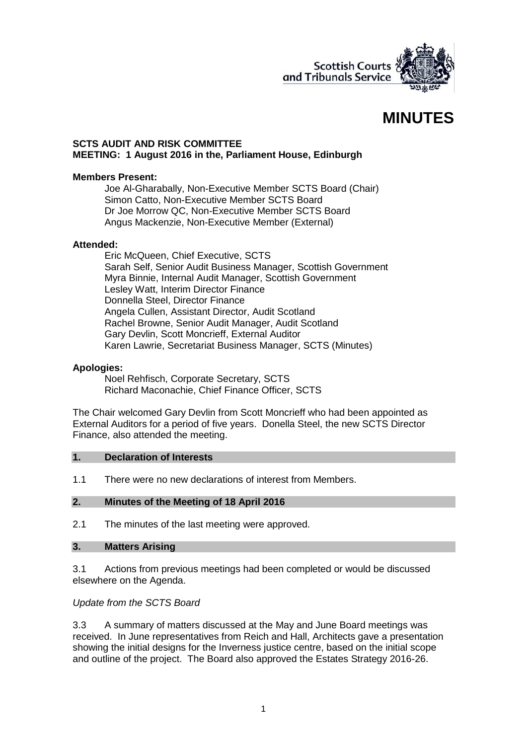

# **MINUTES**

#### **SCTS AUDIT AND RISK COMMITTEE MEETING: 1 August 2016 in the, Parliament House, Edinburgh**

#### **Members Present:**

Joe Al-Gharabally, Non-Executive Member SCTS Board (Chair) Simon Catto, Non-Executive Member SCTS Board Dr Joe Morrow QC, Non-Executive Member SCTS Board Angus Mackenzie, Non-Executive Member (External)

#### **Attended:**

Eric McQueen, Chief Executive, SCTS Sarah Self, Senior Audit Business Manager, Scottish Government Myra Binnie, Internal Audit Manager, Scottish Government Lesley Watt, Interim Director Finance Donnella Steel, Director Finance Angela Cullen, Assistant Director, Audit Scotland Rachel Browne, Senior Audit Manager, Audit Scotland Gary Devlin, Scott Moncrieff, External Auditor Karen Lawrie, Secretariat Business Manager, SCTS (Minutes)

#### **Apologies:**

Noel Rehfisch, Corporate Secretary, SCTS Richard Maconachie, Chief Finance Officer, SCTS

The Chair welcomed Gary Devlin from Scott Moncrieff who had been appointed as External Auditors for a period of five years. Donella Steel, the new SCTS Director Finance, also attended the meeting.

#### **1. Declaration of Interests**

1.1 There were no new declarations of interest from Members.

#### **2. Minutes of the Meeting of 18 April 2016**

2.1 The minutes of the last meeting were approved.

#### **3. Matters Arising**

3.1 Actions from previous meetings had been completed or would be discussed elsewhere on the Agenda.

#### *Update from the SCTS Board*

3.3 A summary of matters discussed at the May and June Board meetings was received. In June representatives from Reich and Hall, Architects gave a presentation showing the initial designs for the Inverness justice centre, based on the initial scope and outline of the project. The Board also approved the Estates Strategy 2016-26.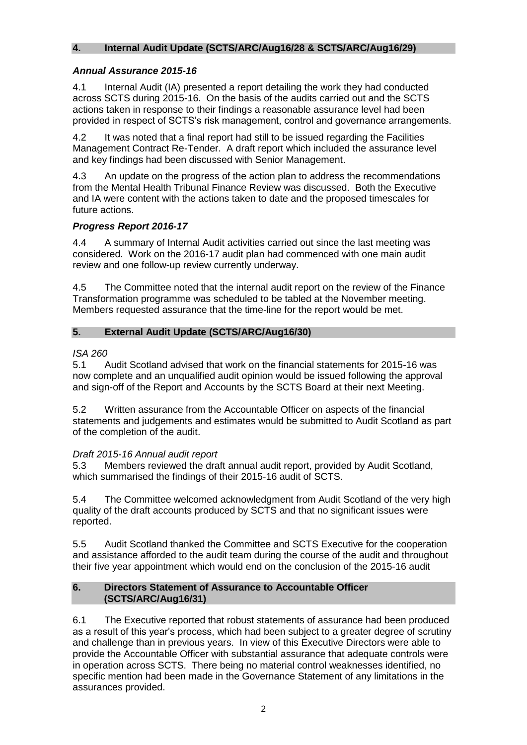## **4. Internal Audit Update (SCTS/ARC/Aug16/28 & SCTS/ARC/Aug16/29)**

## *Annual Assurance 2015-16*

4.1 Internal Audit (IA) presented a report detailing the work they had conducted across SCTS during 2015-16. On the basis of the audits carried out and the SCTS actions taken in response to their findings a reasonable assurance level had been provided in respect of SCTS's risk management, control and governance arrangements.

4.2 It was noted that a final report had still to be issued regarding the Facilities Management Contract Re-Tender. A draft report which included the assurance level and key findings had been discussed with Senior Management.

4.3 An update on the progress of the action plan to address the recommendations from the Mental Health Tribunal Finance Review was discussed. Both the Executive and IA were content with the actions taken to date and the proposed timescales for future actions.

# *Progress Report 2016-17*

4.4 A summary of Internal Audit activities carried out since the last meeting was considered. Work on the 2016-17 audit plan had commenced with one main audit review and one follow-up review currently underway.

4.5 The Committee noted that the internal audit report on the review of the Finance Transformation programme was scheduled to be tabled at the November meeting. Members requested assurance that the time-line for the report would be met.

# **5. External Audit Update (SCTS/ARC/Aug16/30)**

## *ISA 260*

5.1 Audit Scotland advised that work on the financial statements for 2015-16 was now complete and an unqualified audit opinion would be issued following the approval and sign-off of the Report and Accounts by the SCTS Board at their next Meeting.

5.2 Written assurance from the Accountable Officer on aspects of the financial statements and judgements and estimates would be submitted to Audit Scotland as part of the completion of the audit.

## *Draft 2015-16 Annual audit report*

5.3 Members reviewed the draft annual audit report, provided by Audit Scotland, which summarised the findings of their 2015-16 audit of SCTS.

5.4 The Committee welcomed acknowledgment from Audit Scotland of the very high quality of the draft accounts produced by SCTS and that no significant issues were reported.

5.5 Audit Scotland thanked the Committee and SCTS Executive for the cooperation and assistance afforded to the audit team during the course of the audit and throughout their five year appointment which would end on the conclusion of the 2015-16 audit

## **6. Directors Statement of Assurance to Accountable Officer (SCTS/ARC/Aug16/31)**

6.1 The Executive reported that robust statements of assurance had been produced as a result of this year's process, which had been subject to a greater degree of scrutiny and challenge than in previous years. In view of this Executive Directors were able to provide the Accountable Officer with substantial assurance that adequate controls were in operation across SCTS. There being no material control weaknesses identified, no specific mention had been made in the Governance Statement of any limitations in the assurances provided.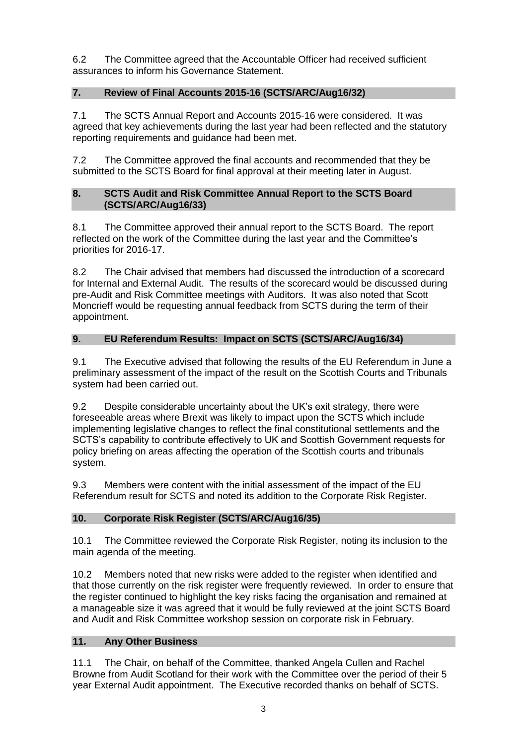6.2 The Committee agreed that the Accountable Officer had received sufficient assurances to inform his Governance Statement.

# **7. Review of Final Accounts 2015-16 (SCTS/ARC/Aug16/32)**

7.1 The SCTS Annual Report and Accounts 2015-16 were considered. It was agreed that key achievements during the last year had been reflected and the statutory reporting requirements and guidance had been met.

7.2 The Committee approved the final accounts and recommended that they be submitted to the SCTS Board for final approval at their meeting later in August.

## **8. SCTS Audit and Risk Committee Annual Report to the SCTS Board (SCTS/ARC/Aug16/33)**

8.1 The Committee approved their annual report to the SCTS Board. The report reflected on the work of the Committee during the last year and the Committee's priorities for 2016-17.

8.2 The Chair advised that members had discussed the introduction of a scorecard for Internal and External Audit. The results of the scorecard would be discussed during pre-Audit and Risk Committee meetings with Auditors. It was also noted that Scott Moncrieff would be requesting annual feedback from SCTS during the term of their appointment.

# **9. EU Referendum Results: Impact on SCTS (SCTS/ARC/Aug16/34)**

9.1 The Executive advised that following the results of the EU Referendum in June a preliminary assessment of the impact of the result on the Scottish Courts and Tribunals system had been carried out.

9.2 Despite considerable uncertainty about the UK's exit strategy, there were foreseeable areas where Brexit was likely to impact upon the SCTS which include implementing legislative changes to reflect the final constitutional settlements and the SCTS's capability to contribute effectively to UK and Scottish Government requests for policy briefing on areas affecting the operation of the Scottish courts and tribunals system.

9.3 Members were content with the initial assessment of the impact of the EU Referendum result for SCTS and noted its addition to the Corporate Risk Register.

# **10. Corporate Risk Register (SCTS/ARC/Aug16/35)**

10.1 The Committee reviewed the Corporate Risk Register, noting its inclusion to the main agenda of the meeting.

10.2 Members noted that new risks were added to the register when identified and that those currently on the risk register were frequently reviewed. In order to ensure that the register continued to highlight the key risks facing the organisation and remained at a manageable size it was agreed that it would be fully reviewed at the joint SCTS Board and Audit and Risk Committee workshop session on corporate risk in February.

# **11. Any Other Business**

11.1 The Chair, on behalf of the Committee, thanked Angela Cullen and Rachel Browne from Audit Scotland for their work with the Committee over the period of their 5 year External Audit appointment. The Executive recorded thanks on behalf of SCTS.